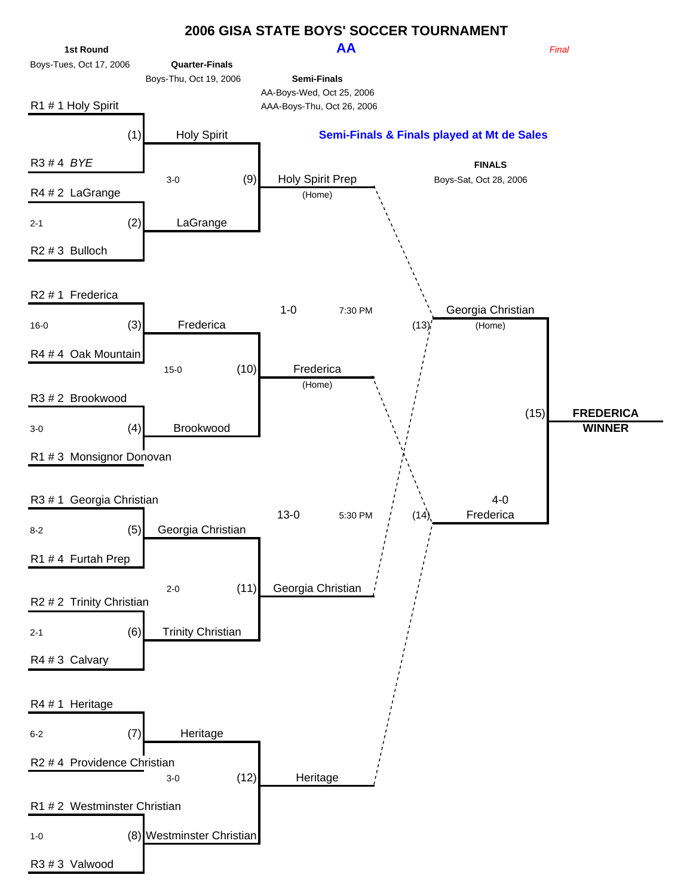